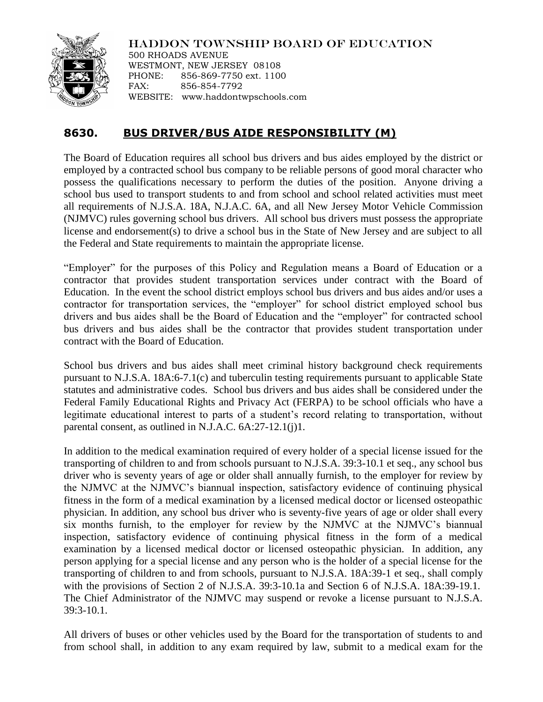

HADDON TOWNSHIP BOARD OF EDUCATION

500 RHOADS AVENUE WESTMONT, NEW JERSEY 08108 PHONE: 856-869-7750 ext. 1100 FAX: 856-854-7792 WEBSITE: www.haddontwpschools.com

## **8630. BUS DRIVER/BUS AIDE RESPONSIBILITY (M)**

The Board of Education requires all school bus drivers and bus aides employed by the district or employed by a contracted school bus company to be reliable persons of good moral character who possess the qualifications necessary to perform the duties of the position. Anyone driving a school bus used to transport students to and from school and school related activities must meet all requirements of N.J.S.A. 18A, N.J.A.C. 6A, and all New Jersey Motor Vehicle Commission (NJMVC) rules governing school bus drivers. All school bus drivers must possess the appropriate license and endorsement(s) to drive a school bus in the State of New Jersey and are subject to all the Federal and State requirements to maintain the appropriate license.

"Employer" for the purposes of this Policy and Regulation means a Board of Education or a contractor that provides student transportation services under contract with the Board of Education. In the event the school district employs school bus drivers and bus aides and/or uses a contractor for transportation services, the "employer" for school district employed school bus drivers and bus aides shall be the Board of Education and the "employer" for contracted school bus drivers and bus aides shall be the contractor that provides student transportation under contract with the Board of Education.

School bus drivers and bus aides shall meet criminal history background check requirements pursuant to N.J.S.A. 18A:6-7.1(c) and tuberculin testing requirements pursuant to applicable State statutes and administrative codes. School bus drivers and bus aides shall be considered under the Federal Family Educational Rights and Privacy Act (FERPA) to be school officials who have a legitimate educational interest to parts of a student's record relating to transportation, without parental consent, as outlined in N.J.A.C. 6A:27-12.1(j)1.

In addition to the medical examination required of every holder of a special license issued for the transporting of children to and from schools pursuant to N.J.S.A. 39:3-10.1 et seq., any school bus driver who is seventy years of age or older shall annually furnish, to the employer for review by the NJMVC at the NJMVC's biannual inspection, satisfactory evidence of continuing physical fitness in the form of a medical examination by a licensed medical doctor or licensed osteopathic physician. In addition, any school bus driver who is seventy-five years of age or older shall every six months furnish, to the employer for review by the NJMVC at the NJMVC's biannual inspection, satisfactory evidence of continuing physical fitness in the form of a medical examination by a licensed medical doctor or licensed osteopathic physician. In addition, any person applying for a special license and any person who is the holder of a special license for the transporting of children to and from schools, pursuant to N.J.S.A. 18A:39-1 et seq., shall comply with the provisions of Section 2 of N.J.S.A. 39:3-10.1a and Section 6 of N.J.S.A. 18A:39-19.1. The Chief Administrator of the NJMVC may suspend or revoke a license pursuant to N.J.S.A. 39:3-10.1.

All drivers of buses or other vehicles used by the Board for the transportation of students to and from school shall, in addition to any exam required by law, submit to a medical exam for the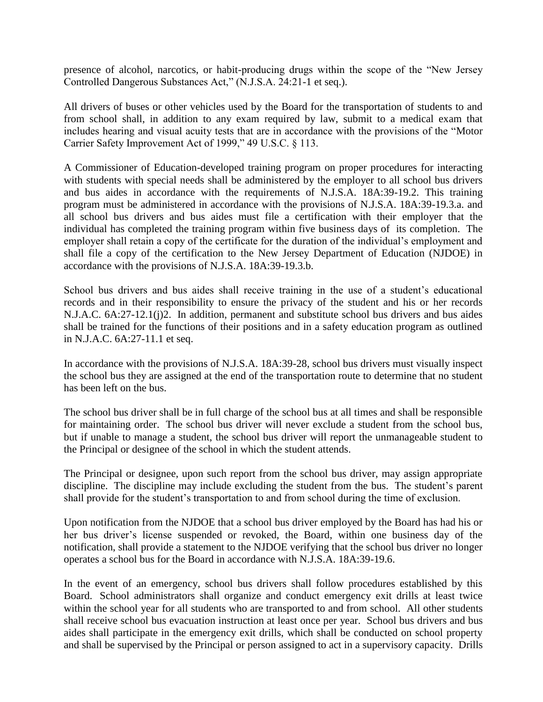presence of alcohol, narcotics, or habit-producing drugs within the scope of the "New Jersey Controlled Dangerous Substances Act," (N.J.S.A. 24:21-1 et seq.).

All drivers of buses or other vehicles used by the Board for the transportation of students to and from school shall, in addition to any exam required by law, submit to a medical exam that includes hearing and visual acuity tests that are in accordance with the provisions of the "Motor Carrier Safety Improvement Act of 1999," 49 U.S.C. § 113.

A Commissioner of Education-developed training program on proper procedures for interacting with students with special needs shall be administered by the employer to all school bus drivers and bus aides in accordance with the requirements of N.J.S.A. 18A:39-19.2. This training program must be administered in accordance with the provisions of N.J.S.A. 18A:39-19.3.a. and all school bus drivers and bus aides must file a certification with their employer that the individual has completed the training program within five business days of its completion. The employer shall retain a copy of the certificate for the duration of the individual's employment and shall file a copy of the certification to the New Jersey Department of Education (NJDOE) in accordance with the provisions of N.J.S.A. 18A:39-19.3.b.

School bus drivers and bus aides shall receive training in the use of a student's educational records and in their responsibility to ensure the privacy of the student and his or her records N.J.A.C. 6A:27-12.1(j)2. In addition, permanent and substitute school bus drivers and bus aides shall be trained for the functions of their positions and in a safety education program as outlined in N.J.A.C. 6A:27-11.1 et seq.

In accordance with the provisions of N.J.S.A. 18A:39-28, school bus drivers must visually inspect the school bus they are assigned at the end of the transportation route to determine that no student has been left on the bus.

The school bus driver shall be in full charge of the school bus at all times and shall be responsible for maintaining order. The school bus driver will never exclude a student from the school bus, but if unable to manage a student, the school bus driver will report the unmanageable student to the Principal or designee of the school in which the student attends.

The Principal or designee, upon such report from the school bus driver, may assign appropriate discipline. The discipline may include excluding the student from the bus. The student's parent shall provide for the student's transportation to and from school during the time of exclusion.

Upon notification from the NJDOE that a school bus driver employed by the Board has had his or her bus driver's license suspended or revoked, the Board, within one business day of the notification, shall provide a statement to the NJDOE verifying that the school bus driver no longer operates a school bus for the Board in accordance with N.J.S.A. 18A:39-19.6.

In the event of an emergency, school bus drivers shall follow procedures established by this Board. School administrators shall organize and conduct emergency exit drills at least twice within the school year for all students who are transported to and from school. All other students shall receive school bus evacuation instruction at least once per year. School bus drivers and bus aides shall participate in the emergency exit drills, which shall be conducted on school property and shall be supervised by the Principal or person assigned to act in a supervisory capacity. Drills